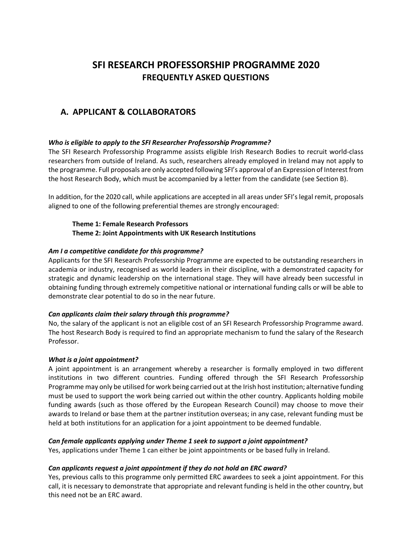# **SFI RESEARCH PROFESSORSHIP PROGRAMME 2020 FREQUENTLY ASKED QUESTIONS**

# **A. APPLICANT & COLLABORATORS**

### *Who is eligible to apply to the SFI Researcher Professorship Programme?*

The SFI Research Professorship Programme assists eligible Irish Research Bodies to recruit world-class researchers from outside of Ireland. As such, researchers already employed in Ireland may not apply to the programme. Full proposals are only accepted following SFI's approval of an Expression of Interest from the host Research Body, which must be accompanied by a letter from the candidate (see Section B).

In addition, for the 2020 call, while applications are accepted in all areas under SFI's legal remit, proposals aligned to one of the following preferential themes are strongly encouraged:

### **Theme 1: Female Research Professors Theme 2: Joint Appointments with UK Research Institutions**

### *Am I a competitive candidate for this programme?*

Applicants for the SFI Research Professorship Programme are expected to be outstanding researchers in academia or industry, recognised as world leaders in their discipline, with a demonstrated capacity for strategic and dynamic leadership on the international stage. They will have already been successful in obtaining funding through extremely competitive national or international funding calls or will be able to demonstrate clear potential to do so in the near future.

### *Can applicants claim their salary through this programme?*

No, the salary of the applicant is not an eligible cost of an SFI Research Professorship Programme award. The host Research Body is required to find an appropriate mechanism to fund the salary of the Research Professor.

### *What is a joint appointment?*

A joint appointment is an arrangement whereby a researcher is formally employed in two different institutions in two different countries. Funding offered through the SFI Research Professorship Programme may only be utilised for work being carried out at the Irish host institution; alternative funding must be used to support the work being carried out within the other country. Applicants holding mobile funding awards (such as those offered by the European Research Council) may choose to move their awards to Ireland or base them at the partner institution overseas; in any case, relevant funding must be held at both institutions for an application for a joint appointment to be deemed fundable.

### *Can female applicants applying under Theme 1 seek to support a joint appointment?*

Yes, applications under Theme 1 can either be joint appointments or be based fully in Ireland.

### *Can applicants request a joint appointment if they do not hold an ERC award?*

Yes, previous calls to this programme only permitted ERC awardees to seek a joint appointment. For this call, it is necessary to demonstrate that appropriate and relevant funding is held in the other country, but this need not be an ERC award.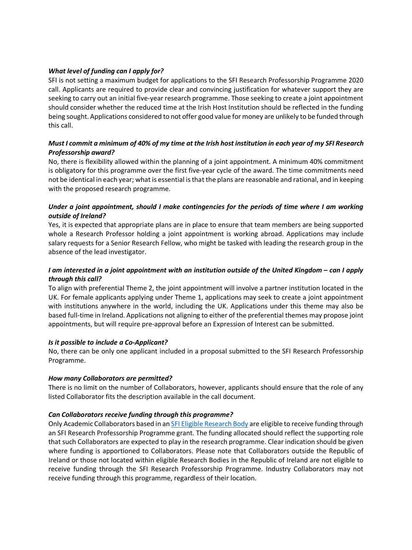# *What level of funding can I apply for?*

SFI is not setting a maximum budget for applications to the SFI Research Professorship Programme 2020 call. Applicants are required to provide clear and convincing justification for whatever support they are seeking to carry out an initial five-year research programme. Those seeking to create a joint appointment should consider whether the reduced time at the Irish Host Institution should be reflected in the funding being sought. Applications considered to not offer good value for money are unlikely to be funded through this call.

# *Must I commit a minimum of 40% of my time at the Irish host institution in each year of my SFI Research Professorship award?*

No, there is flexibility allowed within the planning of a joint appointment. A minimum 40% commitment is obligatory for this programme over the first five-year cycle of the award. The time commitments need not be identical in each year; what is essential is that the plans are reasonable and rational, and in keeping with the proposed research programme.

# *Under a joint appointment, should I make contingencies for the periods of time where I am working outside of Ireland?*

Yes, it is expected that appropriate plans are in place to ensure that team members are being supported whole a Research Professor holding a joint appointment is working abroad. Applications may include salary requests for a Senior Research Fellow, who might be tasked with leading the research group in the absence of the lead investigator.

# *I am interested in a joint appointment with an institution outside of the United Kingdom – can I apply through this call?*

To align with preferential Theme 2, the joint appointment will involve a partner institution located in the UK. For female applicants applying under Theme 1, applications may seek to create a joint appointment with institutions anywhere in the world, including the UK. Applications under this theme may also be based full-time in Ireland. Applications not aligning to either of the preferential themes may propose joint appointments, but will require pre-approval before an Expression of Interest can be submitted.

# *Is it possible to include a Co-Applicant?*

No, there can be only one applicant included in a proposal submitted to the SFI Research Professorship Programme.

# *How many Collaborators are permitted?*

There is no limit on the number of Collaborators, however, applicants should ensure that the role of any listed Collaborator fits the description available in the call document.

### *Can Collaborators receive funding through this programme?*

Only Academic Collaborators based in an [SFI Eligible Research Body](http://www.sfi.ie/funding/sfi-policies-and-guidance/eligibility-related-information/index.xml) are eligible to receive funding through an SFI Research Professorship Programme grant. The funding allocated should reflect the supporting role that such Collaborators are expected to play in the research programme. Clear indication should be given where funding is apportioned to Collaborators. Please note that Collaborators outside the Republic of Ireland or those not located within eligible Research Bodies in the Republic of Ireland are not eligible to receive funding through the SFI Research Professorship Programme. Industry Collaborators may not receive funding through this programme, regardless of their location.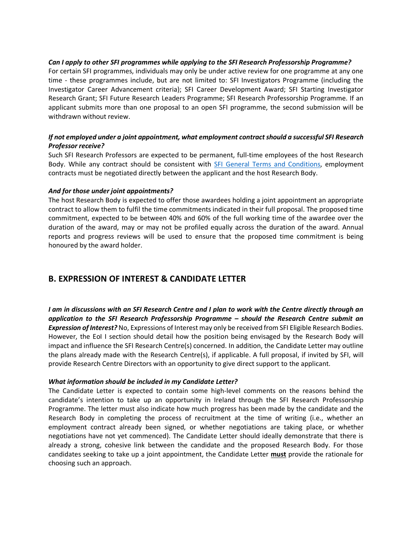### *Can I apply to other SFI programmes while applying to the SFI Research Professorship Programme?*

For certain SFI programmes, individuals may only be under active review for one programme at any one time - these programmes include, but are not limited to: SFI Investigators Programme (including the Investigator Career Advancement criteria); SFI Career Development Award; SFI Starting Investigator Research Grant; SFI Future Research Leaders Programme; SFI Research Professorship Programme. If an applicant submits more than one proposal to an open SFI programme, the second submission will be withdrawn without review.

# *If not employed under a joint appointment, what employment contract should a successful SFI Research Professor receive?*

Such SFI Research Professors are expected to be permanent, full-time employees of the host Research Body. While any contract should be consistent with [SFI General Terms and Conditions,](https://www.sfi.ie/funding/sfi-policies-and-guidance/sfi-general-terms-and-conditions/) employment contracts must be negotiated directly between the applicant and the host Research Body.

### *And for those under joint appointments?*

The host Research Body is expected to offer those awardees holding a joint appointment an appropriate contract to allow them to fulfil the time commitments indicated in their full proposal. The proposed time commitment, expected to be between 40% and 60% of the full working time of the awardee over the duration of the award, may or may not be profiled equally across the duration of the award. Annual reports and progress reviews will be used to ensure that the proposed time commitment is being honoured by the award holder.

# **B. EXPRESSION OF INTEREST & CANDIDATE LETTER**

*I am in discussions with an SFI Research Centre and I plan to work with the Centre directly through an application to the SFI Research Professorship Programme – should the Research Centre submit an Expression of Interest?* No, Expressions of Interest may only be received from SFI Eligible Research Bodies. However, the EoI I section should detail how the position being envisaged by the Research Body will impact and influence the SFI Research Centre(s) concerned. In addition, the Candidate Letter may outline the plans already made with the Research Centre(s), if applicable. A full proposal, if invited by SFI, will provide Research Centre Directors with an opportunity to give direct support to the applicant.

# *What information should be included in my Candidate Letter?*

The Candidate Letter is expected to contain some high-level comments on the reasons behind the candidate's intention to take up an opportunity in Ireland through the SFI Research Professorship Programme. The letter must also indicate how much progress has been made by the candidate and the Research Body in completing the process of recruitment at the time of writing (i.e., whether an employment contract already been signed, or whether negotiations are taking place, or whether negotiations have not yet commenced). The Candidate Letter should ideally demonstrate that there is already a strong, cohesive link between the candidate and the proposed Research Body. For those candidates seeking to take up a joint appointment, the Candidate Letter **must** provide the rationale for choosing such an approach.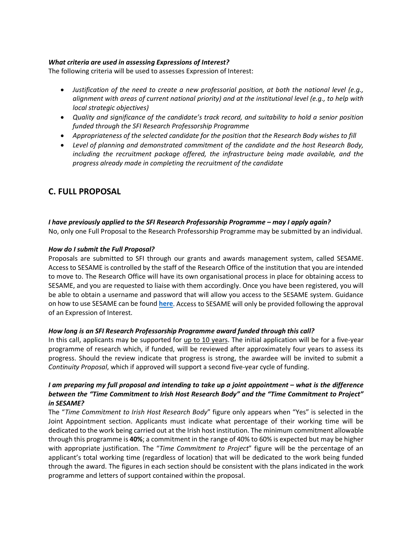### *What criteria are used in assessing Expressions of Interest?*

The following criteria will be used to assesses Expression of Interest:

- *Justification of the need to create a new professorial position, at both the national level (e.g., alignment with areas of current national priority) and at the institutional level (e.g., to help with local strategic objectives)*
- *Quality and significance of the candidate's track record, and suitability to hold a senior position funded through the SFI Research Professorship Programme*
- *Appropriateness of the selected candidate for the position that the Research Body wishes to fill*
- *Level of planning and demonstrated commitment of the candidate and the host Research Body, including the recruitment package offered, the infrastructure being made available, and the progress already made in completing the recruitment of the candidate*

# **C. FULL PROPOSAL**

*I have previously applied to the SFI Research Professorship Programme – may I apply again?*  No, only one Full Proposal to the Research Professorship Programme may be submitted by an individual.

### *How do I submit the Full Proposal?*

Proposals are submitted to SFI through our grants and awards management system, called SESAME. Access to SESAME is controlled by the staff of the Research Office of the institution that you are intended to move to. The Research Office will have its own organisational process in place for obtaining access to SESAME, and you are requested to liaise with them accordingly. Once you have been registered, you will be able to obtain a username and password that will allow you access to the SESAME system. Guidance on how to use SESAME can be found **[here](http://www.sfi.ie/funding/award-management-system/)**. Access to SESAME will only be provided following the approval of an Expression of Interest.

### *How long is an SFI Research Professorship Programme award funded through this call?*

In this call, applicants may be supported for up to 10 years. The initial application will be for a five-year programme of research which, if funded, will be reviewed after approximately four years to assess its progress. Should the review indicate that progress is strong, the awardee will be invited to submit a *Continuity Proposal*, which if approved will support a second five-year cycle of funding.

# *I am preparing my full proposal and intending to take up a joint appointment – what is the difference between the "Time Commitment to Irish Host Research Body" and the "Time Commitment to Project" in SESAME?*

The "*Time Commitment to Irish Host Research Body*" figure only appears when "Yes" is selected in the Joint Appointment section. Applicants must indicate what percentage of their working time will be dedicated to the work being carried out at the Irish host institution. The minimum commitment allowable through this programme is **40%**; a commitment in the range of 40% to 60% is expected but may be higher with appropriate justification. The "*Time Commitment to Project*" figure will be the percentage of an applicant's total working time (regardless of location) that will be dedicated to the work being funded through the award. The figures in each section should be consistent with the plans indicated in the work programme and letters of support contained within the proposal.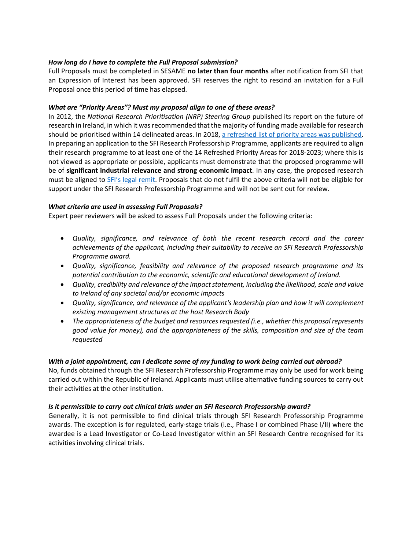# *How long do I have to complete the Full Proposal submission?*

Full Proposals must be completed in SESAME **no later than four months** after notification from SFI that an Expression of Interest has been approved. SFI reserves the right to rescind an invitation for a Full Proposal once this period of time has elapsed.

### *What are "Priority Areas"? Must my proposal align to one of these areas?*

In 2012, the *National Research Prioritisation (NRP) Steering Group* published its report on the future of research in Ireland, in which it was recommended that the majority of funding made available for research should be prioritised within 14 delineated areas. In 2018, [a refreshed list of priority areas was published.](https://dbei.gov.ie/en/Publications/Publication-files/Research-Priority-Areas-2018-to-2023.pdf) In preparing an application to the SFI Research Professorship Programme, applicants are required to align their research programme to at least one of the 14 Refreshed Priority Areas for 2018-2023; where this is not viewed as appropriate or possible, applicants must demonstrate that the proposed programme will be of **significant industrial relevance and strong economic impact**. In any case, the proposed research must be aligned to [SFI's legal remit.](https://sciencefoundationireland.sharepoint.com/sites/Prog/ResProf/Call%20Planning/FAQs/About%20SFI%20-%20What%20we%20do) Proposals that do not fulfil the above criteria will not be eligible for support under the SFI Research Professorship Programme and will not be sent out for review.

### *What criteria are used in assessing Full Proposals?*

Expert peer reviewers will be asked to assess Full Proposals under the following criteria:

- *Quality, significance, and relevance of both the recent research record and the career achievements of the applicant, including their suitability to receive an SFI Research Professorship Programme award.*
- *Quality, significance, feasibility and relevance of the proposed research programme and its potential contribution to the economic, scientific and educational development of Ireland.*
- *Quality, credibility and relevance of the impact statement, including the likelihood, scale and value to Ireland of any societal and/or economic impacts*
- *Quality, significance, and relevance of the applicant's leadership plan and how it will complement existing management structures at the host Research Body*
- *The appropriateness of the budget and resources requested (i.e., whether this proposal represents good value for money), and the appropriateness of the skills, composition and size of the team requested*

### *With a joint appointment, can I dedicate some of my funding to work being carried out abroad?*

No, funds obtained through the SFI Research Professorship Programme may only be used for work being carried out within the Republic of Ireland. Applicants must utilise alternative funding sources to carry out their activities at the other institution.

# *Is it permissible to carry out clinical trials under an SFI Research Professorship award?*

Generally, it is not permissible to find clinical trials through SFI Research Professorship Programme awards. The exception is for regulated, early-stage trials (i.e., Phase I or combined Phase I/II) where the awardee is a Lead Investigator or Co-Lead Investigator within an SFI Research Centre recognised for its activities involving clinical trials.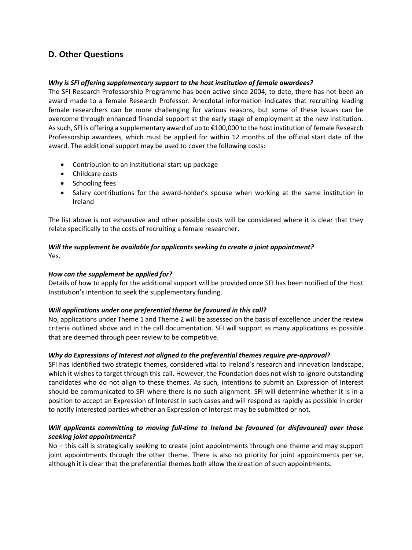# **D. Other Questions**

### *Why is SFI offering supplementary support to the host institution of female awardees?*

The SFI Research Professorship Programme has been active since 2004; to date, there has not been an award made to a female Research Professor. Anecdotal information indicates that recruiting leading female researchers can be more challenging for various reasons, but some of these issues can be overcome through enhanced financial support at the early stage of employment at the new institution. As such, SFI is offering a supplementary award of up to €100,000 to the host institution of female Research Professorship awardees, which must be applied for within 12 months of the official start date of the award. The additional support may be used to cover the following costs:

- Contribution to an institutional start-up package
- Childcare costs
- Schooling fees
- Salary contributions for the award-holder's spouse when working at the same institution in Ireland

The list above is not exhaustive and other possible costs will be considered where it is clear that they relate specifically to the costs of recruiting a female researcher.

### *Will the supplement be available for applicants seeking to create a joint appointment?* Yes.

### *How can the supplement be applied for?*

Details of how to apply for the additional support will be provided once SFI has been notified of the Host Institution's intention to seek the supplementary funding.

### *Will applications under one preferential theme be favoured in this call?*

No, applications under Theme 1 and Theme 2 will be assessed on the basis of excellence under the review criteria outlined above and in the call documentation. SFI will support as many applications as possible that are deemed through peer review to be competitive.

# *Why do Expressions of Interest not aligned to the preferential themes require pre-approval?*

SFI has identified two strategic themes, considered vital to Ireland's research and innovation landscape, which it wishes to target through this call. However, the Foundation does not wish to ignore outstanding candidates who do not align to these themes. As such, intentions to submit an Expression of Interest should be communicated to SFI where there is no such alignment. SFI will determine whether it is in a position to accept an Expression of Interest in such cases and will respond as rapidly as possible in order to notify interested parties whether an Expression of Interest may be submitted or not.

# *Will applicants committing to moving full-time to Ireland be favoured (or disfavoured) over those seeking joint appointments?*

No – this call is strategically seeking to create joint appointments through one theme and may support joint appointments through the other theme. There is also no priority for joint appointments per se, although it is clear that the preferential themes both allow the creation of such appointments.